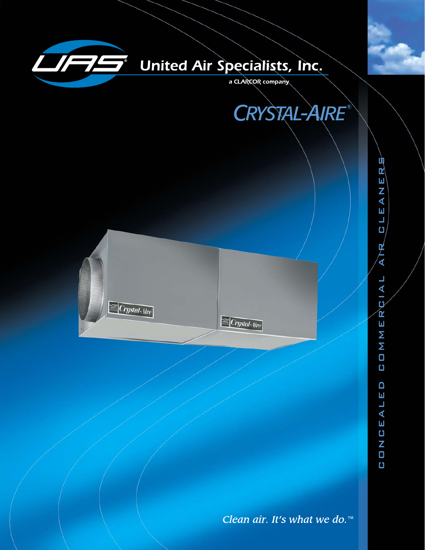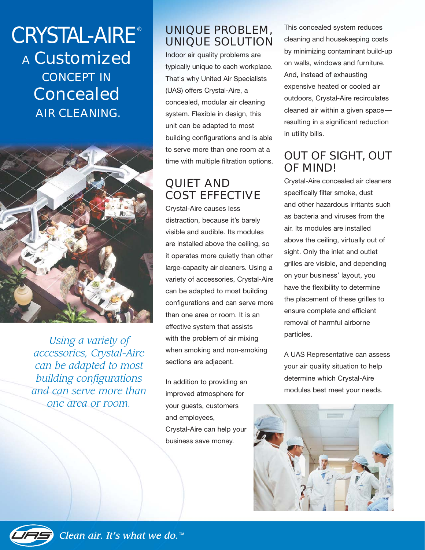# *CRYSTAL-AIRE ®* A Customized CONCEPT IN Concealed AIR CLEANING.



*Using a variety of accessories, Crystal-Aire can be adapted to most building configurations and can serve more than one area or room.*

## UNIQUE PROBLEM, UNIQUE SOLUTION

Indoor air quality problems are typically unique to each workplace. That's why United Air Specialists (UAS) offers Crystal-Aire, a concealed, modular air cleaning system. Flexible in design, this unit can be adapted to most building configurations and is able to serve more than one room at a time with multiple filtration options.

## QUIET AND COST EFFECTIVE

Crystal-Aire causes less distraction, because it's barely visible and audible. Its modules are installed above the ceiling, so it operates more quietly than other large-capacity air cleaners. Using a variety of accessories, Crystal-Aire can be adapted to most building configurations and can serve more than one area or room. It is an effective system that assists with the problem of air mixing when smoking and non-smoking sections are adjacent.

In addition to providing an improved atmosphere for your guests, customers and employees, Crystal-Aire can help your business save money.

This concealed system reduces cleaning and housekeeping costs by minimizing contaminant build-up on walls, windows and furniture. And, instead of exhausting expensive heated or cooled air outdoors, Crystal-Aire recirculates cleaned air within a given space resulting in a significant reduction in utility bills.

## OUT OF SIGHT, OUT OF MIND!

Crystal-Aire concealed air cleaners specifically filter smoke, dust and other hazardous irritants such as bacteria and viruses from the air. Its modules are installed above the ceiling, virtually out of sight. Only the inlet and outlet grilles are visible, and depending on your business' layout, you have the flexibility to determine the placement of these grilles to ensure complete and efficient removal of harmful airborne particles.

A UAS Representative can assess your air quality situation to help determine which Crystal-Aire modules best meet your needs.



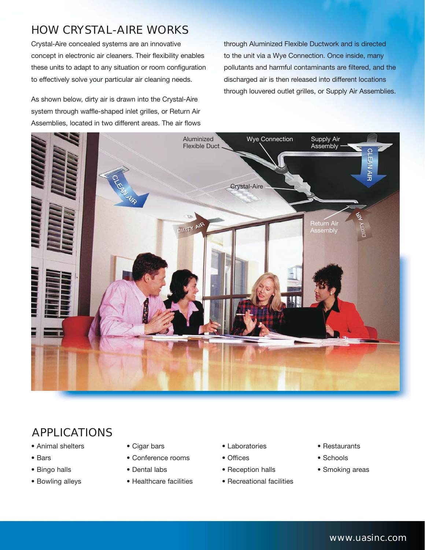## HOW CRYSTAL-AIRE WORKS

Crystal-Aire concealed systems are an innovative concept in electronic air cleaners. Their flexibility enables these units to adapt to any situation or room configuration to effectively solve your particular air cleaning needs.

As shown below, dirty air is drawn into the Crystal-Aire system through waffle-shaped inlet grilles, or Return Air Assemblies, located in two different areas. The air flows through Aluminized Flexible Ductwork and is directed to the unit via a Wye Connection. Once inside, many pollutants and harmful contaminants are filtered, and the discharged air is then released into different locations through louvered outlet grilles, or Supply Air Assemblies.



## APPLICATIONS

- Animal shelters
- Bars
- Bingo halls
- Bowling alleys
- Cigar bars
- Conference rooms
- Dental labs
- Healthcare facilities
- Laboratories
- Offices
- Reception halls
- Recreational facilities
- Restaurants
- Schools
- Smoking areas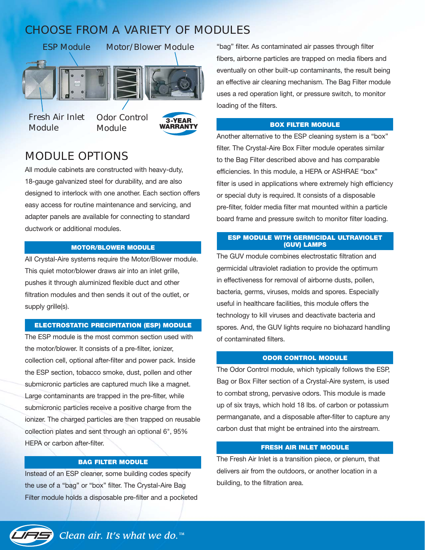## CHOOSE FROM A VARIETY OF MODULES



*Fresh Air Inlet Module*

*Odor Control Module*



## MODULE OPTIONS

All module cabinets are constructed with heavy-duty, 18-gauge galvanized steel for durability, and are also designed to interlock with one another. Each section offers easy access for routine maintenance and servicing, and adapter panels are available for connecting to standard ductwork or additional modules.

### **MOTOR/BLOWER MODULE**

All Crystal-Aire systems require the Motor/Blower module. This quiet motor/blower draws air into an inlet grille, pushes it through aluminized flexible duct and other filtration modules and then sends it out of the outlet, or supply grille(s).

#### **ELECTROSTATIC PRECIPITATION (ESP) MODULE**

The ESP module is the most common section used with the motor/blower. It consists of a pre-filter, ionizer, collection cell, optional after-filter and power pack. Inside the ESP section, tobacco smoke, dust, pollen and other submicronic particles are captured much like a magnet. Large contaminants are trapped in the pre-filter, while submicronic particles receive a positive charge from the ionizer. The charged particles are then trapped on reusable collection plates and sent through an optional 6", 95% HEPA or carbon after-filter.

### **BAG FILTER MODULE**

Instead of an ESP cleaner, some building codes specify the use of a "bag" or "box" filter. The Crystal-Aire Bag Filter module holds a disposable pre-filter and a pocketed "bag" filter. As contaminated air passes through filter fibers, airborne particles are trapped on media fibers and eventually on other built-up contaminants, the result being an effective air cleaning mechanism. The Bag Filter module uses a red operation light, or pressure switch, to monitor loading of the filters.

#### **BOX FILTER MODULE**

Another alternative to the ESP cleaning system is a "box" filter. The Crystal-Aire Box Filter module operates similar to the Bag Filter described above and has comparable efficiencies. In this module, a HEPA or ASHRAE "box" filter is used in applications where extremely high efficiency or special duty is required. It consists of a disposable pre-filter, folder media filter mat mounted within a particle board frame and pressure switch to monitor filter loading.

#### **ESP MODULE WITH GERMICIDAL ULTRAVIOLET (GUV) LAMPS**

The GUV module combines electrostatic filtration and germicidal ultraviolet radiation to provide the optimum in effectiveness for removal of airborne dusts, pollen, bacteria, germs, viruses, molds and spores. Especially useful in healthcare facilities, this module offers the technology to kill viruses and deactivate bacteria and spores. And, the GUV lights require no biohazard handling of contaminated filters.

#### **ODOR CONTROL MODULE**

The Odor Control module, which typically follows the ESP, Bag or Box Filter section of a Crystal-Aire system, is used to combat strong, pervasive odors. This module is made up of six trays, which hold 18 lbs. of carbon or potassium permanganate, and a disposable after-filter to capture any carbon dust that might be entrained into the airstream.

### **FRESH AIR INLET MODULE**

The Fresh Air Inlet is a transition piece, or plenum, that delivers air from the outdoors, or another location in a building, to the filtration area.

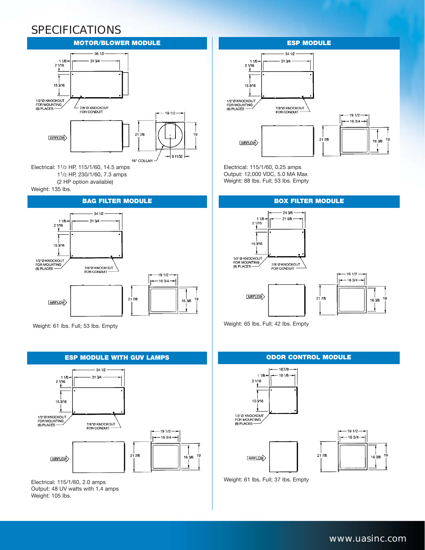## SPECIFICATIONS



11/2 HP, 230/1/60, 7.3 amps (2 HP option available)

Weight: 135 lbs.

#### **BAG FILTER MODULE BOX FILTER MODULE**



Weight: 61 lbs. Full; 53 lbs. Empty



Electrical: 115/1/60, 2.0 amps Output: 48 UV watts with 1.4 amps Weight: 105 lbs.

### $-341/2$  $11/8$ 31344  $21/16$ 土 153/16 1/2<sup>\*</sup>Ø KNOCKOUT<br>FOR MOUNTING 7/8"Ø KNOCKOUT<br>FOR CONDUIT  $(8)$  PLACES -



Electrical: 115/1/60, 0.25 amps Output: 12,000 VDC, 5.0 MA Max Weight: 88 lbs. Full; 53 lbs. Empty



Weight: 65 lbs. Full; 42 lbs. Empty

 $-187/8$  $11B$ 16.1/8  $21/16$ ۰ 153/16 1/2" Ø KNOCKOLIT FOR MOUNTING





Weight: 61 lbs. Full; 37 lbs. Empty

### *www.uasinc.com*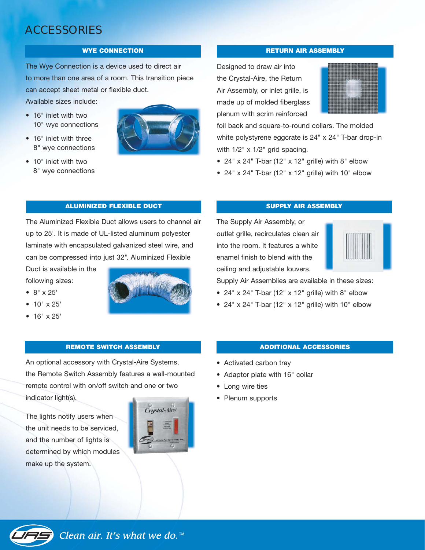## ACCESSORIES

The Wye Connection is a device used to direct air to more than one area of a room. This transition piece can accept sheet metal or flexible duct.

Available sizes include:

- 16" inlet with two 10" wye connections
- 16" inlet with three 8" wye connections



• 10" inlet with two 8" wye connections

#### **WYE CONNECTION RETURN AIR ASSEMBLY**

Designed to draw air into the Crystal-Aire, the Return Air Assembly, or inlet grille, is made up of molded fiberglass plenum with scrim reinforced



foil back and square-to-round collars. The molded white polystyrene eggcrate is 24" x 24" T-bar drop-in with  $1/2$ " x  $1/2$ " grid spacing.

- $24" \times 24"$  T-bar (12"  $\times$  12" grille) with 8" elbow
- 24" x 24" T-bar (12" x 12" grille) with 10" elbow

### **ALUMINIZED FLEXIBLE DUCT SUPPLY AIR ASSEMBLY**

The Aluminized Flexible Duct allows users to channel air up to 25'. It is made of UL-listed aluminum polyester laminate with encapsulated galvanized steel wire, and can be compressed into just 32". Aluminized Flexible

Duct is available in the following sizes:

- 8" x 25'
- 10" x 25'
- 16" x 25'



An optional accessory with Crystal-Aire Systems, the Remote Switch Assembly features a wall-mounted remote control with on/off switch and one or two indicator light(s).

The lights notify users when the unit needs to be serviced, and the number of lights is determined by which modules make up the system.



The Supply Air Assembly, or outlet grille, recirculates clean air into the room. It features a white enamel finish to blend with the ceiling and adjustable louvers.



Supply Air Assemblies are available in these sizes:

- 24" x 24" T-bar (12" x 12" grille) with 8" elbow
- 24" x 24" T-bar (12" x 12" grille) with 10" elbow

#### **REMOTE SWITCH ASSEMBLY ADDITIONAL ACCESSORIES**

- Activated carbon tray
- Adaptor plate with 16" collar
- Long wire ties
- Plenum supports

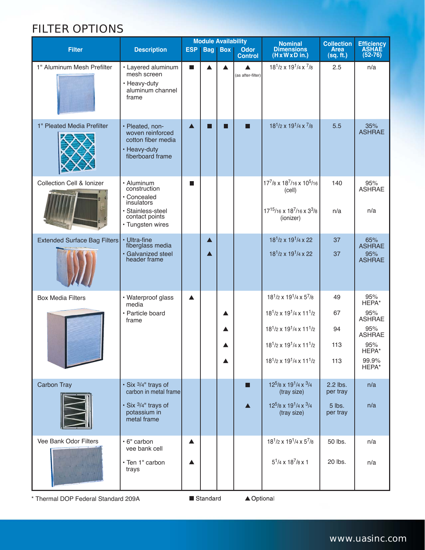## FILTER OPTIONS

| <b>Filter</b>                       | <b>Description</b>                                                                            | ESP              |                  | <b>Module Availability</b><br><b>Bag   Box  </b> | <b>Odor</b>                           | <b>Nominal</b><br><b>Dimensions</b>                                                                              | <b>Collection</b><br><b>Area</b> | Efficiency<br>ASHAE         |
|-------------------------------------|-----------------------------------------------------------------------------------------------|------------------|------------------|--------------------------------------------------|---------------------------------------|------------------------------------------------------------------------------------------------------------------|----------------------------------|-----------------------------|
|                                     |                                                                                               |                  |                  |                                                  | <b>Control</b>                        | $(H \times W \times D)$ in.)                                                                                     | (sq. ft.)                        | $(52-76)$                   |
| 1" Aluminum Mesh Prefilter          | · Layered aluminum<br>mesh screen<br>• Heavy-duty<br>aluminum channel<br>frame                | П                | ▲                | ▲                                                | $\blacktriangle$<br>(as after-filter) | $18^{1}/2 \times 19^{1}/4 \times \frac{7}{8}$                                                                    | 2.5                              | n/a                         |
| 1" Pleated Media Prefilter          | · Pleated, non-<br>woven reinforced<br>cotton fiber media<br>• Heavy-duty<br>fiberboard frame | $\blacktriangle$ | - 1              | П                                                | П                                     | $18^{1/2} \times 19^{1/4} \times \frac{7}{8}$                                                                    | 5.5                              | 35%<br><b>ASHRAE</b>        |
| Collection Cell & Ionizer           | • Aluminum<br>construction<br>· Concealed<br>insulators<br>· Stainless-steel                  | ш                |                  |                                                  |                                       | 177/8 x 187/16 x 10 <sup>5</sup> /16<br>(cell)<br>17 <sup>15</sup> /16 x 18 <sup>7</sup> /16 x 3 <sup>3</sup> /8 | 140<br>n/a                       | 95%<br><b>ASHRAE</b><br>n/a |
|                                     | contact points<br>• Tungsten wires                                                            |                  |                  |                                                  |                                       | (ionizer)                                                                                                        |                                  |                             |
| <b>Extended Surface Bag Filters</b> | • Ultra-fine<br>fiberglass media                                                              |                  | $\blacktriangle$ |                                                  |                                       | 18 <sup>1</sup> /2 x 19 <sup>1</sup> /4 x 22                                                                     | 37                               | 65%<br><b>ASHRAE</b>        |
|                                     | · Galvanized steel<br>header frame                                                            |                  | ▲                |                                                  |                                       | 18 <sup>1</sup> /2 x 19 <sup>1</sup> /4 x 22                                                                     | 37                               | 95%<br><b>ASHRAE</b>        |
| <b>Box Media Filters</b>            | • Waterproof glass<br>media                                                                   | ▲                |                  |                                                  |                                       | $18^1/2 \times 19^1/4 \times 5^7/8$                                                                              | 49                               | 95%<br>HEPA*                |
|                                     | · Particle board<br>frame                                                                     |                  |                  | ▲                                                |                                       | $18^{1}/2$ x $19^{1}/4$ x $11^{1}/2$                                                                             | 67                               | 95%<br><b>ASHRAE</b>        |
|                                     |                                                                                               |                  |                  | ▲                                                |                                       | $18^1/2 \times 19^1/4 \times 11^1/2$                                                                             | 94                               | 95%<br><b>ASHRAE</b>        |
|                                     |                                                                                               |                  |                  |                                                  |                                       | $18^{1}/2$ x $19^{1}/4$ x $11^{1}/2$                                                                             | 113                              | 95%<br>HEPA*                |
|                                     |                                                                                               |                  |                  | ▲                                                |                                       | $18^{1}/2$ x $19^{1}/4$ x $11^{1}/2$                                                                             | 113                              | 99.9%<br>HEPA*              |
| Carbon Tray                         | · Six 3/4" trays of<br>carbon in metal frame                                                  |                  |                  |                                                  | П                                     | $12^{5}/8 \times 19^{1}/4 \times 3/4$<br>(tray size)                                                             | 2.2 lbs.<br>per tray             | n/a                         |
|                                     | · Six 3/4" trays of<br>potassium in<br>metal frame                                            |                  |                  |                                                  |                                       | $12^{5}/8 \times 19^{1}/4 \times 3/4$<br>(tray size)                                                             | $5$ lbs.<br>per tray             | n/a                         |
| Vee Bank Odor Filters               | · 6" carbon<br>vee bank cell                                                                  | ▲                |                  |                                                  |                                       | $18^{1}/2$ x $19^{1}/4$ x $5^{7}/8$                                                                              | 50 lbs.                          | n/a                         |
|                                     | • Ten 1" carbon<br>trays                                                                      | ▲                |                  |                                                  |                                       | $5^1/4 \times 18^7/8 \times 1$                                                                                   | 20 lbs.                          | n/a                         |

\* Thermal DOP Federal Standard 209A

Standard

▲ Optional